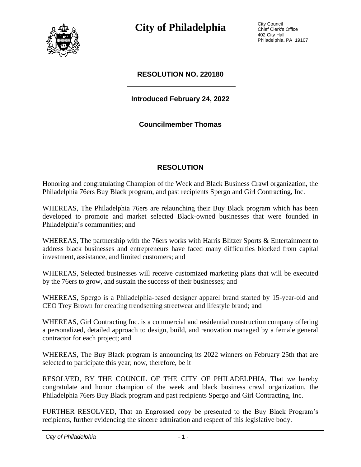

**City of Philadelphia** City Council

Chief Clerk's Office 402 City Hall Philadelphia, PA 19107

### **RESOLUTION NO. 220180**

## **Introduced February 24, 2022**

#### **Councilmember Thomas**

## **RESOLUTION**

Honoring and congratulating Champion of the Week and Black Business Crawl organization, the Philadelphia 76ers Buy Black program, and past recipients Spergo and Girl Contracting, Inc.

WHEREAS, The Philadelphia 76ers are relaunching their Buy Black program which has been developed to promote and market selected Black-owned businesses that were founded in Philadelphia's communities; and

WHEREAS, The partnership with the 76ers works with Harris Blitzer Sports & Entertainment to address black businesses and entrepreneurs have faced many difficulties blocked from capital investment, assistance, and limited customers; and

WHEREAS, Selected businesses will receive customized marketing plans that will be executed by the 76ers to grow, and sustain the success of their businesses; and

WHEREAS, Spergo is a Philadelphia-based designer apparel brand started by 15-year-old and CEO Trey Brown for creating trendsetting streetwear and lifestyle brand; and

WHEREAS, Girl Contracting Inc. is a commercial and residential construction company offering a personalized, detailed approach to design, build, and renovation managed by a female general contractor for each project; and

WHEREAS, The Buy Black program is announcing its 2022 winners on February 25th that are selected to participate this year; now, therefore, be it

RESOLVED, BY THE COUNCIL OF THE CITY OF PHILADELPHIA, That we hereby congratulate and honor champion of the week and black business crawl organization, the Philadelphia 76ers Buy Black program and past recipients Spergo and Girl Contracting, Inc.

FURTHER RESOLVED, That an Engrossed copy be presented to the Buy Black Program's recipients, further evidencing the sincere admiration and respect of this legislative body.